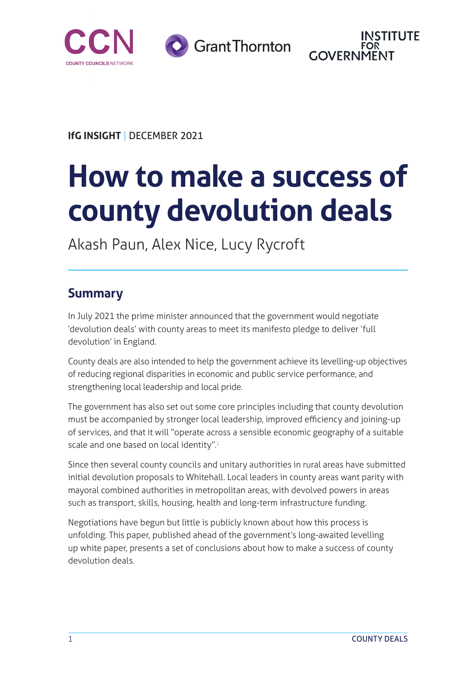

**Grant Thornton** 



**IfG INSIGHT** | DECEMBER 2021

# **How to make a success of county devolution deals**

Akash Paun, Alex Nice, Lucy Rycroft

#### **Summary**

In July 2021 the prime minister announced that the government would negotiate 'devolution deals' with county areas to meet its manifesto pledge to deliver 'full devolution' in England.

County deals are also intended to help the government achieve its levelling-up objectives of reducing regional disparities in economic and public service performance, and strengthening local leadership and local pride.

The government has also set out some core principles including that county devolution must be accompanied by stronger local leadership, improved efficiency and joining-up of services, and that it will "operate across a sensible economic geography of a suitable scale and one based on local identity".<sup>[1](#page-14-0)</sup>

Since then several county councils and unitary authorities in rural areas have submitted initial devolution proposals to Whitehall. Local leaders in county areas want parity with mayoral combined authorities in metropolitan areas, with devolved powers in areas such as transport, skills, housing, health and long-term infrastructure funding.

Negotiations have begun but little is publicly known about how this process is unfolding. This paper, published ahead of the government's long-awaited levelling up white paper, presents a set of conclusions about how to make a success of county devolution deals.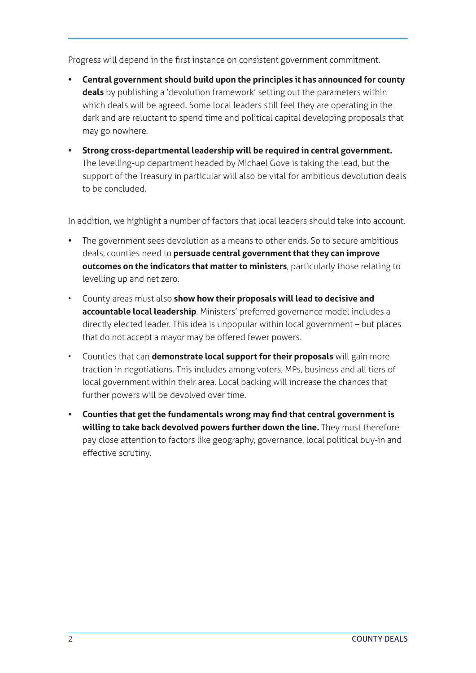Progress will depend in the first instance on consistent government commitment.

- **• Central government should build upon the principles it has announced for county deals** by publishing a 'devolution framework' setting out the parameters within which deals will be agreed. Some local leaders still feel they are operating in the dark and are reluctant to spend time and political capital developing proposals that may go nowhere.
- **• Strong cross-departmental leadership will be required in central government.** The levelling-up department headed by Michael Gove is taking the lead, but the support of the Treasury in particular will also be vital for ambitious devolution deals to be concluded.

In addition, we highlight a number of factors that local leaders should take into account.

- **•** The government sees devolution as a means to other ends. So to secure ambitious deals, counties need to **persuade central government that they can improve outcomes on the indicators that matter to ministers**, particularly those relating to levelling up and net zero.
- County areas must also **show how their proposals will lead to decisive and accountable local leadership**. Ministers' preferred governance model includes a directly elected leader. This idea is unpopular within local government – but places that do not accept a mayor may be offered fewer powers.
- Counties that can **demonstrate local support for their proposals** will gain more traction in negotiations. This includes among voters, MPs, business and all tiers of local government within their area. Local backing will increase the chances that further powers will be devolved over time.
- **• Counties that get the fundamentals wrong may find that central government is willing to take back devolved powers further down the line.** They must therefore pay close attention to factors like geography, governance, local political buy-in and effective scrutiny.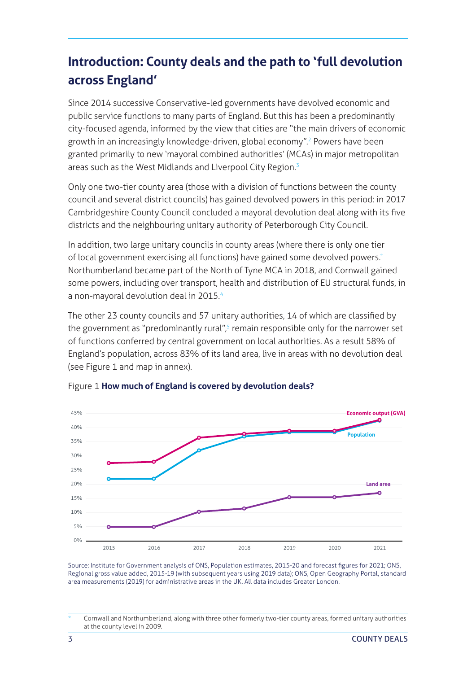# <span id="page-2-0"></span>**Introduction: County deals and the path to 'full devolution across England'**

Since 2014 successive Conservative-led governments have devolved economic and public service functions to many parts of England. But this has been a predominantly city-focused agenda, informed by the view that cities are "the main drivers of economic growth in an increasingly knowledge-driven, global economy".[2](#page-14-0) Powers have been granted primarily to new 'mayoral combined authorities' (MCAs) in major metropolitan areas such as the West Midlands and Liverpool City Region.<sup>[3](#page-14-0)</sup>

Only one two-tier county area (those with a division of functions between the county council and several district councils) has gained devolved powers in this period: in 2017 Cambridgeshire County Council concluded a mayoral devolution deal along with its five districts and the neighbouring unitary authority of Peterborough City Council.

In addition, two large unitary councils in county areas (where there is only one tier of local government exercising all functions) have gained some devolved powers.<sup>\*</sup> Northumberland became part of the North of Tyne MCA in 2018, and Cornwall gained some powers, including over transport, health and distribution of EU structural funds, in a non-mayoral devolution deal in 2015.<sup>4</sup>

The other 23 county councils and 57 unitary authorities, 14 of which are classified by the government as "predominantly rural",<sup>[5](#page-14-0)</sup> remain responsible only for the narrower set of functions conferred by central government on local authorities. As a result 58% of England's population, across 83% of its land area, live in areas with no devolution deal (see Figure 1 and map in annex).



Figure 1 **How much of England is covered by devolution deals?**

Source: Institute for Government analysis of ONS, Population estimates, 2015-20 and forecast figures for 2021; ONS, Regional gross value added, 2015-19 (with subsequent years using 2019 data); ONS, Open Geography Portal, standard area measurements (2019) for administrative areas in the UK. All data includes Greater London.

Cornwall and Northumberland, along with three other formerly two-tier county areas, formed unitary authorities at the county level in 2009.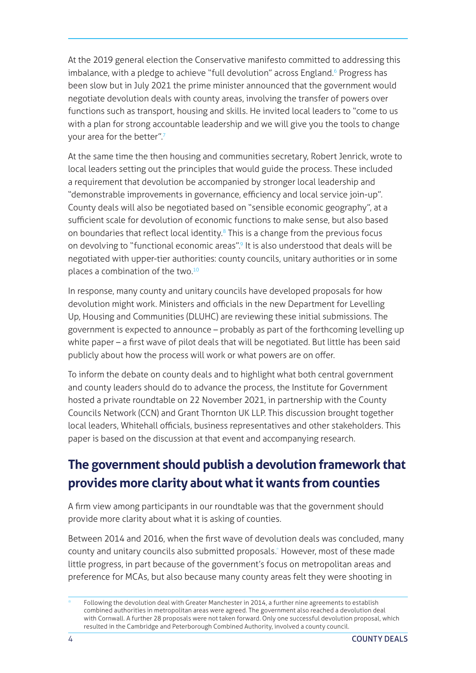<span id="page-3-0"></span>At the 2019 general election the Conservative manifesto committed to addressing this imbalance, with a pledge to achieve "full devolution" across England.<sup>[6](#page-14-0)</sup> Progress has been slow but in July 2021 the prime minister announced that the government would negotiate devolution deals with county areas, involving the transfer of powers over functions such as transport, housing and skills. He invited local leaders to "come to us with a plan for strong accountable leadership and we will give you the tools to change your area for the better"[.7](#page-14-0)

At the same time the then housing and communities secretary, Robert Jenrick, wrote to local leaders setting out the principles that would guide the process. These included a requirement that devolution be accompanied by stronger local leadership and "demonstrable improvements in governance, efficiency and local service join-up". County deals will also be negotiated based on "sensible economic geography", at a sufficient scale for devolution of economic functions to make sense, but also based on boundaries that reflect local identity.<sup>8</sup> This is a change from the previous focus on devolving to "functional economic areas".<sup>9</sup> It is also understood that deals will be negotiated with upper-tier authorities: county councils, unitary authorities or in some places a combination of the two.<sup>10</sup>

In response, many county and unitary councils have developed proposals for how devolution might work. Ministers and officials in the new Department for Levelling Up, Housing and Communities (DLUHC) are reviewing these initial submissions. The government is expected to announce – probably as part of the forthcoming levelling up white paper – a first wave of pilot deals that will be negotiated. But little has been said publicly about how the process will work or what powers are on offer.

To inform the debate on county deals and to highlight what both central government and county leaders should do to advance the process, the Institute for Government hosted a private roundtable on 22 November 2021, in partnership with the County Councils Network (CCN) and Grant Thornton UK LLP. This discussion brought together local leaders, Whitehall officials, business representatives and other stakeholders. This paper is based on the discussion at that event and accompanying research.

### **The government should publish a devolution framework that provides more clarity about what it wants from counties**

A firm view among participants in our roundtable was that the government should provide more clarity about what it is asking of counties.

Between 2014 and 2016, when the first wave of devolution deals was concluded, many county and unitary councils also submitted proposals.\* However, most of these made little progress, in part because of the government's focus on metropolitan areas and preference for MCAs, but also because many county areas felt they were shooting in

Following the devolution deal with Greater Manchester in 2014, a further nine agreements to establish combined authorities in metropolitan areas were agreed. The government also reached a devolution deal with Cornwall. A further 28 proposals were not taken forward. Only one successful devolution proposal, which resulted in the Cambridge and Peterborough Combined Authority, involved a county council.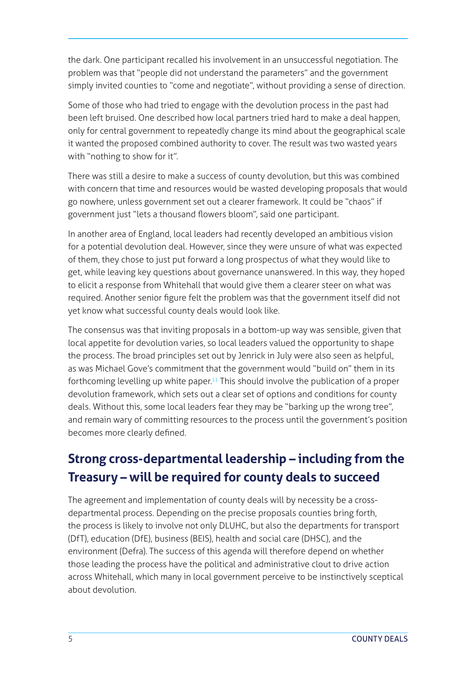the dark. One participant recalled his involvement in an unsuccessful negotiation. The problem was that "people did not understand the parameters" and the government simply invited counties to "come and negotiate", without providing a sense of direction.

Some of those who had tried to engage with the devolution process in the past had been left bruised. One described how local partners tried hard to make a deal happen, only for central government to repeatedly change its mind about the geographical scale it wanted the proposed combined authority to cover. The result was two wasted years with "nothing to show for it".

There was still a desire to make a success of county devolution, but this was combined with concern that time and resources would be wasted developing proposals that would go nowhere, unless government set out a clearer framework. It could be "chaos" if government just "lets a thousand flowers bloom", said one participant.

In another area of England, local leaders had recently developed an ambitious vision for a potential devolution deal. However, since they were unsure of what was expected of them, they chose to just put forward a long prospectus of what they would like to get, while leaving key questions about governance unanswered. In this way, they hoped to elicit a response from Whitehall that would give them a clearer steer on what was required. Another senior figure felt the problem was that the government itself did not yet know what successful county deals would look like.

The consensus was that inviting proposals in a bottom-up way was sensible, given that local appetite for devolution varies, so local leaders valued the opportunity to shape the process. The broad principles set out by Jenrick in July were also seen as helpful, as was Michael Gove's commitment that the government would "build on" them in its forthcoming levelling up white paper.<sup>11</sup> This should involve the publication of a proper devolution framework, which sets out a clear set of options and conditions for county deals. Without this, some local leaders fear they may be "barking up the wrong tree", and remain wary of committing resources to the process until the government's position becomes more clearly defined.

#### **Strong cross-departmental leadership – including from the Treasury – will be required for county deals to succeed**

The agreement and implementation of county deals will by necessity be a crossdepartmental process. Depending on the precise proposals counties bring forth, the process is likely to involve not only DLUHC, but also the departments for transport (DfT), education (DfE), business (BEIS), health and social care (DHSC), and the environment (Defra). The success of this agenda will therefore depend on whether those leading the process have the political and administrative clout to drive action across Whitehall, which many in local government perceive to be instinctively sceptical about devolution.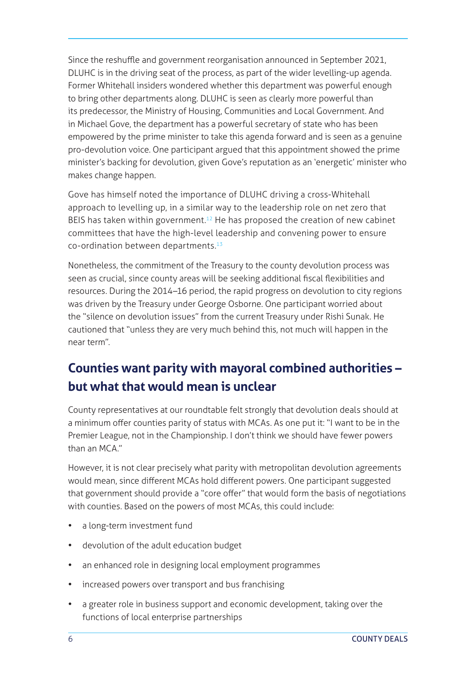<span id="page-5-0"></span>Since the reshuffle and government reorganisation announced in September 2021, DLUHC is in the driving seat of the process, as part of the wider levelling-up agenda. Former Whitehall insiders wondered whether this department was powerful enough to bring other departments along. DLUHC is seen as clearly more powerful than its predecessor, the Ministry of Housing, Communities and Local Government. And in Michael Gove, the department has a powerful secretary of state who has been empowered by the prime minister to take this agenda forward and is seen as a genuine pro-devolution voice. One participant argued that this appointment showed the prime minister's backing for devolution, given Gove's reputation as an 'energetic' minister who makes change happen.

Gove has himself noted the importance of DLUHC driving a cross-Whitehall approach to levelling up, in a similar way to the leadership role on net zero that BEIS has taken within government.<sup>12</sup> He has proposed the creation of new cabinet committees that have the high-level leadership and convening power to ensure co-ordination between departments.[13](#page-14-0)

Nonetheless, the commitment of the Treasury to the county devolution process was seen as crucial, since county areas will be seeking additional fiscal flexibilities and resources. During the 2014–16 period, the rapid progress on devolution to city regions was driven by the Treasury under George Osborne. One participant worried about the "silence on devolution issues" from the current Treasury under Rishi Sunak. He cautioned that "unless they are very much behind this, not much will happen in the near term".

## **Counties want parity with mayoral combined authorities – but what that would mean is unclear**

County representatives at our roundtable felt strongly that devolution deals should at a minimum offer counties parity of status with MCAs. As one put it: "I want to be in the Premier League, not in the Championship. I don't think we should have fewer powers than an MCA"

However, it is not clear precisely what parity with metropolitan devolution agreements would mean, since different MCAs hold different powers. One participant suggested that government should provide a "core offer" that would form the basis of negotiations with counties. Based on the powers of most MCAs, this could include:

- a long-term investment fund
- devolution of the adult education budget
- an enhanced role in designing local employment programmes
- increased powers over transport and bus franchising
- a greater role in business support and economic development, taking over the functions of local enterprise partnerships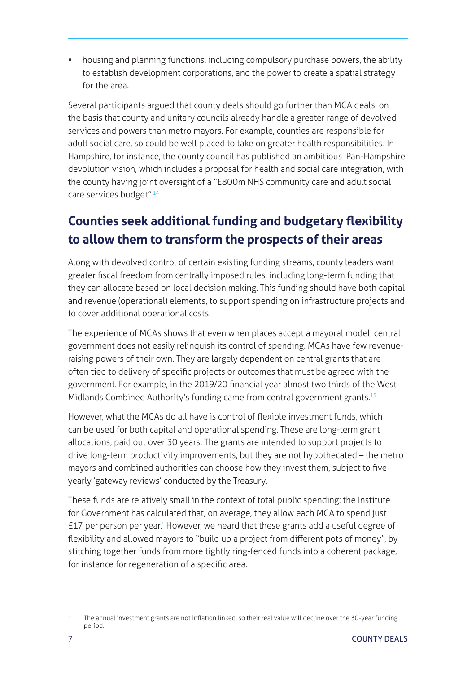housing and planning functions, including compulsory purchase powers, the ability to establish development corporations, and the power to create a spatial strategy for the area.

Several participants argued that county deals should go further than MCA deals, on the basis that county and unitary councils already handle a greater range of devolved services and powers than metro mayors. For example, counties are responsible for adult social care, so could be well placed to take on greater health responsibilities. In Hampshire, for instance, the county council has published an ambitious 'Pan-Hampshire' devolution vision, which includes a proposal for health and social care integration, with the county having joint oversight of a "£800m NHS community care and adult social care services budget".<sup>14</sup>

# **Counties seek additional funding and budgetary flexibility to allow them to transform the prospects of their areas**

Along with devolved control of certain existing funding streams, county leaders want greater fiscal freedom from centrally imposed rules, including long-term funding that they can allocate based on local decision making. This funding should have both capital and revenue (operational) elements, to support spending on infrastructure projects and to cover additional operational costs.

The experience of MCAs shows that even when places accept a mayoral model, central government does not easily relinquish its control of spending. MCAs have few revenueraising powers of their own. They are largely dependent on central grants that are often tied to delivery of specific projects or outcomes that must be agreed with the government. For example, in the 2019/20 financial year almost two thirds of the West Midlands Combined Authority's funding came from central government grants.<sup>15</sup>

However, what the MCAs do all have is control of flexible investment funds, which can be used for both capital and operational spending. These are long-term grant allocations, paid out over 30 years. The grants are intended to support projects to drive long-term productivity improvements, but they are not hypothecated – the metro mayors and combined authorities can choose how they invest them, subject to fiveyearly 'gateway reviews' conducted by the Treasury.

These funds are relatively small in the context of total public spending: the Institute for Government has calculated that, on average, they allow each MCA to spend just £17 per person per year.\* However, we heard that these grants add a useful degree of flexibility and allowed mayors to "build up a project from different pots of money", by stitching together funds from more tightly ring-fenced funds into a coherent package, for instance for regeneration of a specific area.

The annual investment grants are not inflation linked, so their real value will decline over the 30-year funding period.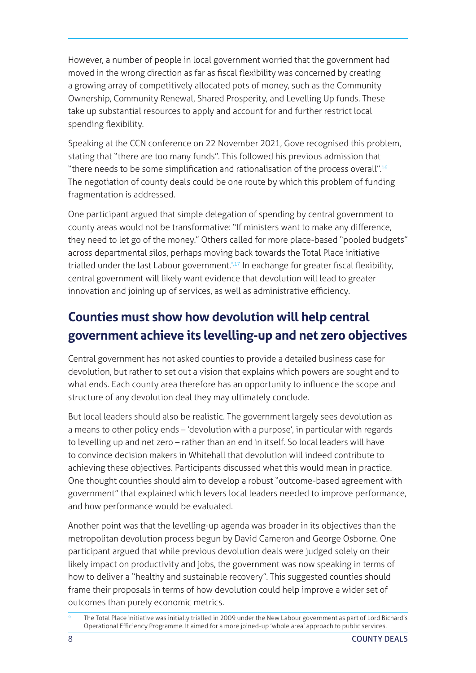However, a number of people in local government worried that the government had moved in the wrong direction as far as fiscal flexibility was concerned by creating a growing array of competitively allocated pots of money, such as the Community Ownership, Community Renewal, Shared Prosperity, and Levelling Up funds. These take up substantial resources to apply and account for and further restrict local spending flexibility.

Speaking at the CCN conference on 22 November 2021, Gove recognised this problem, stating that "there are too many funds". This followed his previous admission that "there needs to be some simplification and rationalisation of the process overall".[16](#page-14-0) The negotiation of county deals could be one route by which this problem of funding fragmentation is addressed.

One participant argued that simple delegation of spending by central government to county areas would not be transformative: "If ministers want to make any difference, they need to let go of the money." Others called for more place-based "pooled budgets" across departmental silos, perhaps moving back towards the Total Place initiative trialled under the last Labour government[.\\*,17](#page-14-0) In exchange for greater fiscal flexibility, central government will likely want evidence that devolution will lead to greater innovation and joining up of services, as well as administrative efficiency.

### **Counties must show how devolution will help central government achieve its levelling-up and net zero objectives**

Central government has not asked counties to provide a detailed business case for devolution, but rather to set out a vision that explains which powers are sought and to what ends. Each county area therefore has an opportunity to influence the scope and structure of any devolution deal they may ultimately conclude.

But local leaders should also be realistic. The government largely sees devolution as a means to other policy ends – 'devolution with a purpose', in particular with regards to levelling up and net zero – rather than an end in itself. So local leaders will have to convince decision makers in Whitehall that devolution will indeed contribute to achieving these objectives. Participants discussed what this would mean in practice. One thought counties should aim to develop a robust "outcome-based agreement with government" that explained which levers local leaders needed to improve performance, and how performance would be evaluated.

Another point was that the levelling-up agenda was broader in its objectives than the metropolitan devolution process begun by David Cameron and George Osborne. One participant argued that while previous devolution deals were judged solely on their likely impact on productivity and jobs, the government was now speaking in terms of how to deliver a "healthy and sustainable recovery". This suggested counties should frame their proposals in terms of how devolution could help improve a wider set of outcomes than purely economic metrics.

The Total Place initiative was initially trialled in 2009 under the New Labour government as part of Lord Bichard's Operational Efficiency Programme. It aimed for a more joined-up 'whole area' approach to public services.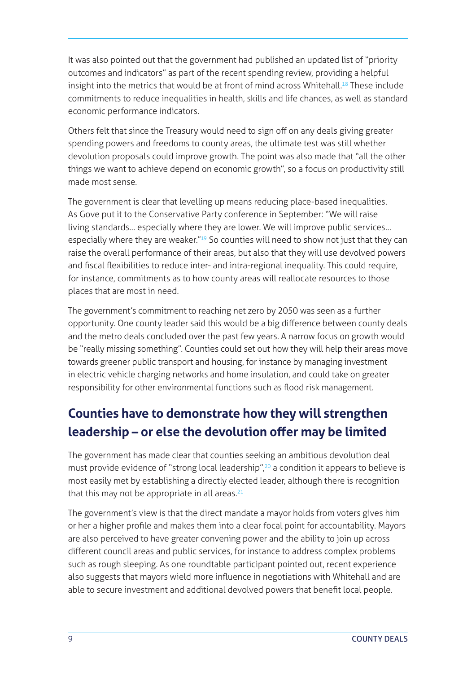It was also pointed out that the government had published an updated list of "priority outcomes and indicators" as part of the recent spending review, providing a helpful insight into the metrics that would be at front of mind across Whitehall.<sup>18</sup> These include commitments to reduce inequalities in health, skills and life chances, as well as standard economic performance indicators.

Others felt that since the Treasury would need to sign off on any deals giving greater spending powers and freedoms to county areas, the ultimate test was still whether devolution proposals could improve growth. The point was also made that "all the other things we want to achieve depend on economic growth", so a focus on productivity still made most sense.

The government is clear that levelling up means reducing place-based inequalities. As Gove put it to the Conservative Party conference in September: "We will raise living standards… especially where they are lower. We will improve public services… especially where they are weaker.<sup>"19</sup> So counties will need to show not just that they can raise the overall performance of their areas, but also that they will use devolved powers and fiscal flexibilities to reduce inter- and intra-regional inequality. This could require, for instance, commitments as to how county areas will reallocate resources to those places that are most in need.

The government's commitment to reaching net zero by 2050 was seen as a further opportunity. One county leader said this would be a big difference between county deals and the metro deals concluded over the past few years. A narrow focus on growth would be "really missing something". Counties could set out how they will help their areas move towards greener public transport and housing, for instance by managing investment in electric vehicle charging networks and home insulation, and could take on greater responsibility for other environmental functions such as flood risk management.

## **Counties have to demonstrate how they will strengthen leadership – or else the devolution offer may be limited**

The government has made clear that counties seeking an ambitious devolution deal must provide evidence of "strong local leadership",<sup>20</sup> a condition it appears to believe is most easily met by establishing a directly elected leader, although there is recognition that this may not be appropriate in all areas. $21$ 

The government's view is that the direct mandate a mayor holds from voters gives him or her a higher profile and makes them into a clear focal point for accountability. Mayors are also perceived to have greater convening power and the ability to join up across different council areas and public services, for instance to address complex problems such as rough sleeping. As one roundtable participant pointed out, recent experience also suggests that mayors wield more influence in negotiations with Whitehall and are able to secure investment and additional devolved powers that benefit local people.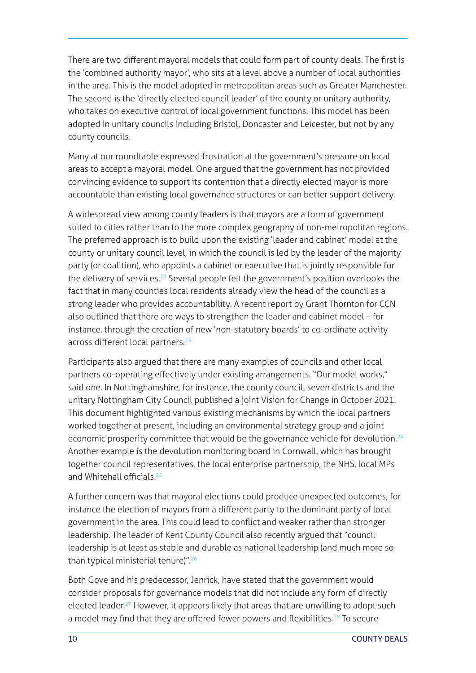<span id="page-9-0"></span>There are two different mayoral models that could form part of county deals. The first is the 'combined authority mayor', who sits at a level above a number of local authorities in the area. This is the model adopted in metropolitan areas such as Greater Manchester. The second is the 'directly elected council leader' of the county or unitary authority, who takes on executive control of local government functions. This model has been adopted in unitary councils including Bristol, Doncaster and Leicester, but not by any county councils.

Many at our roundtable expressed frustration at the government's pressure on local areas to accept a mayoral model. One argued that the government has not provided convincing evidence to support its contention that a directly elected mayor is more accountable than existing local governance structures or can better support delivery.

A widespread view among county leaders is that mayors are a form of government suited to cities rather than to the more complex geography of non-metropolitan regions. The preferred approach is to build upon the existing 'leader and cabinet' model at the county or unitary council level, in which the council is led by the leader of the majority party (or coalition), who appoints a cabinet or executive that is jointly responsible for the delivery of services.<sup>22</sup> Several people felt the government's position overlooks the fact that in many counties local residents already view the head of the council as a strong leader who provides accountability. A recent report by Grant Thornton for CCN also outlined that there are ways to strengthen the leader and cabinet model – for instance, through the creation of new 'non-statutory boards' to co-ordinate activity across different local partners.<sup>[23](#page-15-0)</sup>

Participants also argued that there are many examples of councils and other local partners co-operating effectively under existing arrangements. "Our model works," said one. In Nottinghamshire, for instance, the county council, seven districts and the unitary Nottingham City Council published a joint Vision for Change in October 2021. This document highlighted various existing mechanisms by which the local partners worked together at present, including an environmental strategy group and a joint economic prosperity committee that would be the governance vehicle for devolution.<sup>[24](#page-15-0)</sup> Another example is the devolution monitoring board in Cornwall, which has brought together council representatives, the local enterprise partnership, the NHS, local MPs and Whitehall officials.<sup>[25](#page-15-0)</sup>

A further concern was that mayoral elections could produce unexpected outcomes, for instance the election of mayors from a different party to the dominant party of local government in the area. This could lead to conflict and weaker rather than stronger leadership. The leader of Kent County Council also recently argued that "council leadership is at least as stable and durable as national leadership (and much more so than typical ministerial tenure)".[26](#page-15-0)

Both Gove and his predecessor, Jenrick, have stated that the government would consider proposals for governance models that did not include any form of directly elected leader.<sup>27</sup> However, it appears likely that areas that are unwilling to adopt such a model may find that they are offered fewer powers and flexibilities.<sup>[28](#page-15-0)</sup> To secure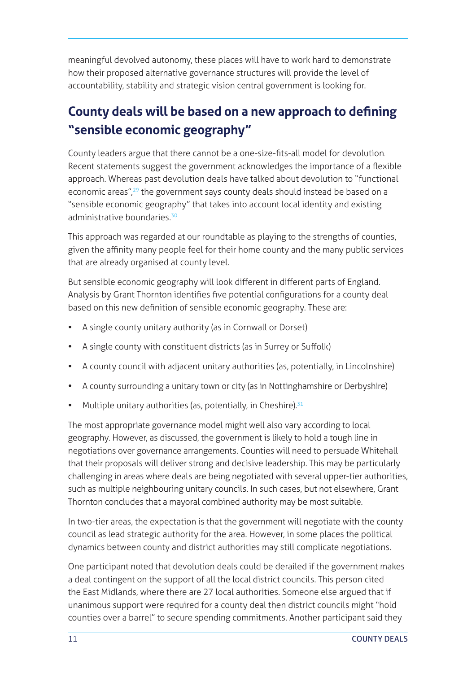<span id="page-10-0"></span>meaningful devolved autonomy, these places will have to work hard to demonstrate how their proposed alternative governance structures will provide the level of accountability, stability and strategic vision central government is looking for.

# **County deals will be based on a new approach to defining "sensible economic geography"**

County leaders argue that there cannot be a one-size-fits-all model for devolution. Recent statements suggest the government acknowledges the importance of a flexible approach. Whereas past devolution deals have talked about devolution to "functional economic areas",<sup>29</sup> the government says county deals should instead be based on a "sensible economic geography" that takes into account local identity and existing administrative boundaries.<sup>30</sup>

This approach was regarded at our roundtable as playing to the strengths of counties, given the affinity many people feel for their home county and the many public services that are already organised at county level.

But sensible economic geography will look different in different parts of England. Analysis by Grant Thornton identifies five potential configurations for a county deal based on this new definition of sensible economic geography. These are:

- A single county unitary authority (as in Cornwall or Dorset)
- A single county with constituent districts (as in Surrey or Suffolk)
- A county council with adjacent unitary authorities (as, potentially, in Lincolnshire)
- A county surrounding a unitary town or city (as in Nottinghamshire or Derbyshire)
- Multiple unitary authorities (as, potentially, in Cheshire). $31$

The most appropriate governance model might well also vary according to local geography. However, as discussed, the government is likely to hold a tough line in negotiations over governance arrangements. Counties will need to persuade Whitehall that their proposals will deliver strong and decisive leadership. This may be particularly challenging in areas where deals are being negotiated with several upper-tier authorities, such as multiple neighbouring unitary councils. In such cases, but not elsewhere, Grant Thornton concludes that a mayoral combined authority may be most suitable.

In two-tier areas, the expectation is that the government will negotiate with the county council as lead strategic authority for the area. However, in some places the political dynamics between county and district authorities may still complicate negotiations.

One participant noted that devolution deals could be derailed if the government makes a deal contingent on the support of all the local district councils. This person cited the East Midlands, where there are 27 local authorities. Someone else argued that if unanimous support were required for a county deal then district councils might "hold counties over a barrel" to secure spending commitments. Another participant said they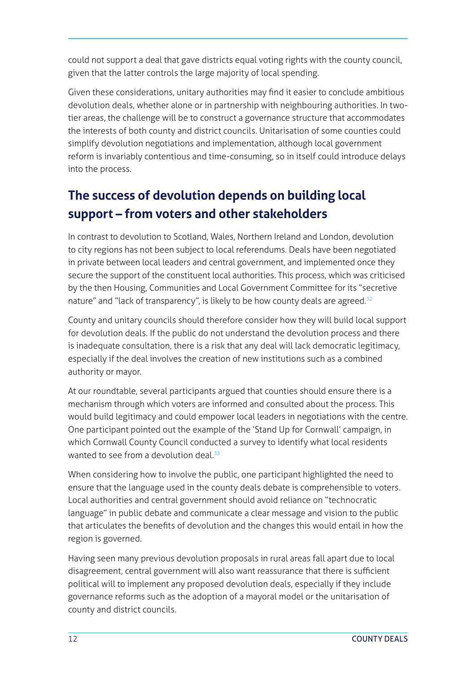<span id="page-11-0"></span>could not support a deal that gave districts equal voting rights with the county council, given that the latter controls the large majority of local spending.

Given these considerations, unitary authorities may find it easier to conclude ambitious devolution deals, whether alone or in partnership with neighbouring authorities. In twotier areas, the challenge will be to construct a governance structure that accommodates the interests of both county and district councils. Unitarisation of some counties could simplify devolution negotiations and implementation, although local government reform is invariably contentious and time-consuming, so in itself could introduce delays into the process.

# **The success of devolution depends on building local support – from voters and other stakeholders**

In contrast to devolution to Scotland, Wales, Northern Ireland and London, devolution to city regions has not been subject to local referendums. Deals have been negotiated in private between local leaders and central government, and implemented once they secure the support of the constituent local authorities. This process, which was criticised by the then Housing, Communities and Local Government Committee for its "secretive nature" and "lack of transparency", is likely to be how county deals are agreed.<sup>32</sup>

County and unitary councils should therefore consider how they will build local support for devolution deals. If the public do not understand the devolution process and there is inadequate consultation, there is a risk that any deal will lack democratic legitimacy, especially if the deal involves the creation of new institutions such as a combined authority or mayor.

At our roundtable, several participants argued that counties should ensure there is a mechanism through which voters are informed and consulted about the process. This would build legitimacy and could empower local leaders in negotiations with the centre. One participant pointed out the example of the 'Stand Up for Cornwall' campaign, in which Cornwall County Council conducted a survey to identify what local residents wanted to see from a devolution deal.<sup>[33](#page-15-0)</sup>

When considering how to involve the public, one participant highlighted the need to ensure that the language used in the county deals debate is comprehensible to voters. Local authorities and central government should avoid reliance on "technocratic language" in public debate and communicate a clear message and vision to the public that articulates the benefits of devolution and the changes this would entail in how the region is governed.

Having seen many previous devolution proposals in rural areas fall apart due to local disagreement, central government will also want reassurance that there is sufficient political will to implement any proposed devolution deals, especially if they include governance reforms such as the adoption of a mayoral model or the unitarisation of county and district councils.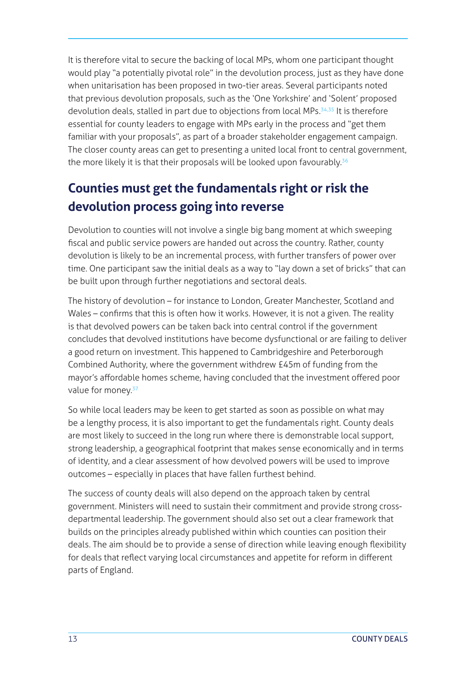<span id="page-12-0"></span>It is therefore vital to secure the backing of local MPs, whom one participant thought would play "a potentially pivotal role" in the devolution process, just as they have done when unitarisation has been proposed in two-tier areas. Several participants noted that previous devolution proposals, such as the 'One Yorkshire' and 'Solent' proposed devolution deals, stalled in part due to objections from local MPs.<sup>34,35</sup> It is therefore essential for county leaders to engage with MPs early in the process and "get them familiar with your proposals", as part of a broader stakeholder engagement campaign. The closer county areas can get to presenting a united local front to central government, the more likely it is that their proposals will be looked upon favourably.<sup>[36](#page-15-0)</sup>

## **Counties must get the fundamentals right or risk the devolution process going into reverse**

Devolution to counties will not involve a single big bang moment at which sweeping fiscal and public service powers are handed out across the country. Rather, county devolution is likely to be an incremental process, with further transfers of power over time. One participant saw the initial deals as a way to "lay down a set of bricks" that can be built upon through further negotiations and sectoral deals.

The history of devolution – for instance to London, Greater Manchester, Scotland and Wales – confirms that this is often how it works. However, it is not a given. The reality is that devolved powers can be taken back into central control if the government concludes that devolved institutions have become dysfunctional or are failing to deliver a good return on investment. This happened to Cambridgeshire and Peterborough Combined Authority, where the government withdrew £45m of funding from the mayor's affordable homes scheme, having concluded that the investment offered poor value for money.<sup>[37](#page-15-0)</sup>

So while local leaders may be keen to get started as soon as possible on what may be a lengthy process, it is also important to get the fundamentals right. County deals are most likely to succeed in the long run where there is demonstrable local support, strong leadership, a geographical footprint that makes sense economically and in terms of identity, and a clear assessment of how devolved powers will be used to improve outcomes – especially in places that have fallen furthest behind.

The success of county deals will also depend on the approach taken by central government. Ministers will need to sustain their commitment and provide strong crossdepartmental leadership. The government should also set out a clear framework that builds on the principles already published within which counties can position their deals. The aim should be to provide a sense of direction while leaving enough flexibility for deals that reflect varying local circumstances and appetite for reform in different parts of England.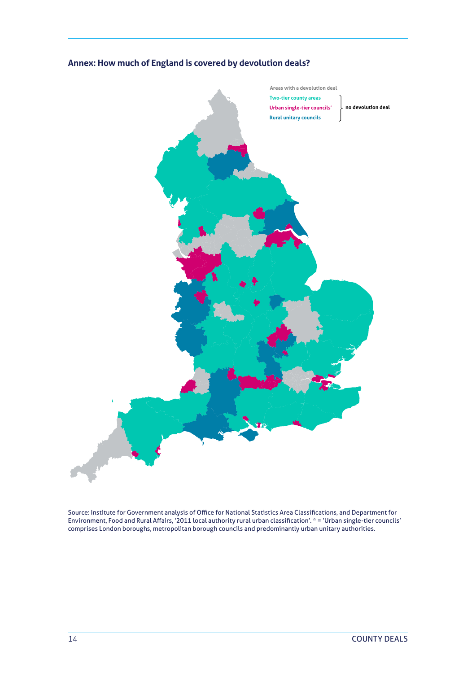

#### **Annex: How much of England is covered by devolution deals?**

Source: Institute for Government analysis of Office for National Statistics Area Classifications, and Department for Environment, Food and Rural Affairs, '2011 local authority rural urban classification'. \* = 'Urban single-tier councils' comprises London boroughs, metropolitan borough councils and predominantly urban unitary authorities.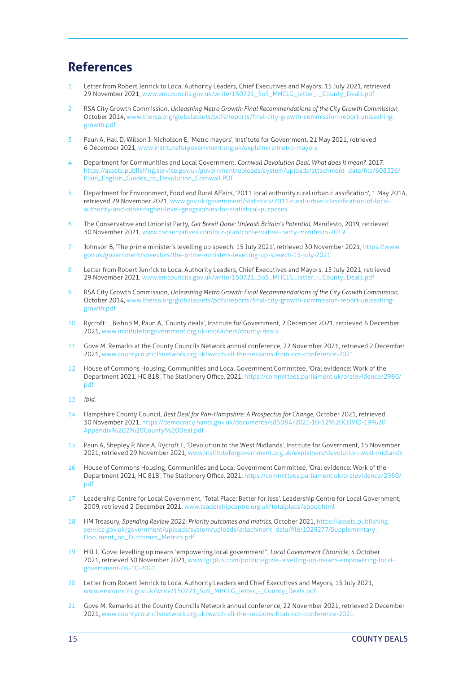#### <span id="page-14-0"></span>**References**

- 1 Letter from Robert Jenrick to Local Authority Leaders, Chief Executives and Mayors, 15 July 2021, retrieved 29 November 2021, [www.emcouncils.gov.uk/write/150721\\_SoS\\_MHCLG\\_letter\\_-\\_County\\_Deals.pdf](http://www.emcouncils.gov.uk/write/150721_SoS_MHCLG_letter_-_County_Deals.pdf)
- 2 RSA City Growth Commission, *Unleashing Metro Growth: Final Recommendations of the City Growth Commission*, October 2014, [www.thersa.org/globalassets/pdfs/reports/final-city-growth-commission-report-unleashing](https://www.thersa.org/globalassets/pdfs/reports/final-city-growth-commission-report-unleashing-growth.pdf)[growth.pdf](https://www.thersa.org/globalassets/pdfs/reports/final-city-growth-commission-report-unleashing-growth.pdf)
- 3 Paun A, Hall D, Wilson J, Nicholson E, 'Metro mayors', Institute for Government, 21 May 2021, retrieved 6 December 2021, [www.instituteforgovernment.org.uk/explainers/metro-mayors](http://www.instituteforgovernment.org.uk/explainers/metro-mayors)
- [4](#page-2-0) Department for Communities and Local Government, *Cornwall Devolution Deal. What does it mean?*, 2017, [https://assets.publishing.service.gov.uk/government/uploads/system/uploads/attachment\\_data/file/608526/](https://assets.publishing.service.gov.uk/government/uploads/system/uploads/attachment_data/file/608526/Plain_English_Guides_to_Devolution_Cornwall.PDF) [Plain\\_English\\_Guides\\_to\\_Devolution\\_Cornwall.PDF](https://assets.publishing.service.gov.uk/government/uploads/system/uploads/attachment_data/file/608526/Plain_English_Guides_to_Devolution_Cornwall.PDF)
- [5](#page-2-0) Department for Environment, Food and Rural Affairs, '2011 local authority rural urban classification', 1 May 2014, retrieved 29 November 2021, [www.gov.uk/government/statistics/2011-rural-urban-classification-of-local](http://www.gov.uk/government/statistics/2011-rural-urban-classification-of-local-authority-and-other-higher-level-geographies-for-statistical-purposes)[authority-and-other-higher-level-geographies-for-statistical-purposes](http://www.gov.uk/government/statistics/2011-rural-urban-classification-of-local-authority-and-other-higher-level-geographies-for-statistical-purposes)
- 6 The Conservative and Unionist Party, *Get Brexit Done: Unleash Britain's Potential*, Manifesto, 2019, retrieved 30 November 2021, [www.conservatives.com/our-plan/conservative-party-manifesto-2019](http://www.conservatives.com/our-plan/conservative-party-manifesto-2019)
- Johnson B, 'The prime minister's levelling up speech: 15 July 2021', retrieved 30 November 2021, [https://www.](https://www.gov.uk/government/speeches/the-prime-ministers-levelling-up-speech-15-july-2021) [gov.uk/government/speeches/the-prime-ministers-levelling-up-speech-15-july-2021](https://www.gov.uk/government/speeches/the-prime-ministers-levelling-up-speech-15-july-2021)
- [8](#page-3-0) Letter from Robert Jenrick to Local Authority Leaders, Chief Executives and Mayors, 15 July 2021, retrieved 29 November 2021, [www.emcouncils.gov.uk/write/150721\\_SoS\\_MHCLG\\_letter\\_-\\_County\\_Deals.pdf](http://www.emcouncils.gov.uk/write/150721_SoS_MHCLG_letter_-_County_Deals.pdf)
- 9 RSA City Growth Commission, *Unleashing Metro Growth: Final Recommendations of the City Growth Commission*, October 2014, [www.thersa.org/globalassets/pdfs/reports/final-city-growth-commission-report-unleashing](https://www.thersa.org/globalassets/pdfs/reports/final-city-growth-commission-report-unleashing-growth.pdf)[growth.pdf](https://www.thersa.org/globalassets/pdfs/reports/final-city-growth-commission-report-unleashing-growth.pdf)
- 10 Rycroft L, Bishop M, Paun A, 'County deals', Institute for Government, 2 December 2021, retrieved 6 December 2021, [www.instituteforgovernment.org.uk/explainers/county-deals](http://www.instituteforgovernment.org.uk/explainers/county-deals)
- 11 Gove M, Remarks at the County Councils Network annual conference, 22 November 2021, retrieved 2 December 2021, [www.countycouncilsnetwork.org.uk/watch-all-the-sessions-from-ccn-conference-2021](http://www.countycouncilsnetwork.org.uk/watch-all-the-sessions-from-ccn-conference-2021/)
- [12](#page-5-0) House of Commons Housing, Communities and Local Government Committee, 'Oral evidence: Work of the Department 2021, HC 818', The Stationery Office, 2021, [https://committees.parliament.uk/oralevidence/2980/](https://committees.parliament.uk/oralevidence/2980/pdf) [pdf](https://committees.parliament.uk/oralevidence/2980/pdf)
- 13 *Ibid*.
- 14 Hampshire County Council, *Best Deal for Pan-Hampshire: A Prospectus for Change*, October 2021, retrieved 30 November 2021, [https://democracy.hants.gov.uk/documents/s85084/2021-10-12%20COVID-19%20](https://democracy.hants.gov.uk/documents/s85084/2021-10-12%20COVID-19%20Appendix%202%20County%20Deal.pdf) [Appendix%202%20County%20Deal.pdf](https://democracy.hants.gov.uk/documents/s85084/2021-10-12%20COVID-19%20Appendix%202%20County%20Deal.pdf)
- 15 Paun A, Shepley P, Nice A, Rycroft L, 'Devolution to the West Midlands', Institute for Government, 15 November 2021, retrieved 29 November 2021, [www.instituteforgovernment.org.uk/explainers/devolution-west-midlands](http://www.instituteforgovernment.org.uk/explainers/devolution-west-midlands)
- 16 House of Commons Housing, Communities and Local Government Committee, 'Oral evidence: Work of the Department 2021, HC 818', The Stationery Office, 2021, [https://committees.parliament.uk/oralevidence/2980/](https://committees.parliament.uk/oralevidence/2980/pdf) [pdf](https://committees.parliament.uk/oralevidence/2980/pdf)
- 17 Leadership Centre for Local Government, 'Total Place: Better for less', Leadership Centre for Local Government, 2009, retrieved 2 December 2021, [www.leadershipcentre.org.uk/totalplace/about.html](http://www.leadershipcentre.org.uk/totalplace/about.html)
- 18 HM Treasury, *Spending Review 2021: Priority outcomes and metrics*, October 2021, [https://assets.publishing.](https://assets.publishing.service.gov.uk/government/uploads/system/uploads/attachment_data/file/1029277/Supplementary_Document_on_Outcomes_Metrics.pdf) [service.gov.uk/government/uploads/system/uploads/attachment\\_data/file/1029277/Supplementary\\_](https://assets.publishing.service.gov.uk/government/uploads/system/uploads/attachment_data/file/1029277/Supplementary_Document_on_Outcomes_Metrics.pdf) [Document\\_on\\_Outcomes\\_Metrics.pdf](https://assets.publishing.service.gov.uk/government/uploads/system/uploads/attachment_data/file/1029277/Supplementary_Document_on_Outcomes_Metrics.pdf)
- 19 Hill J, 'Gove: levelling up means 'empowering local government'', *Local Government Chronicle*, 4 October 2021, retrieved 30 November 2021, [www.lgcplus.com/politics/gove-levelling-up-means-empowering-local](https://www.lgcplus.com/politics/gove-levelling-up-means-empowering-local-government-04-10-2021/)[government-04-10-2021](https://www.lgcplus.com/politics/gove-levelling-up-means-empowering-local-government-04-10-2021/)
- 20 Letter from Robert Jenrick to Local Authority Leaders and Chief Executives and Mayors, 15 July 2021, [www.emcouncils.gov.uk/write/150721\\_SoS\\_MHCLG\\_letter\\_-\\_County\\_Deals.pdf](http://www.emcouncils.gov.uk/write/150721_SoS_MHCLG_letter_-_County_Deals.pdf)
- 21 Gove M, Remarks at the County Councils Network annual conference, 22 November 2021, retrieved 2 December 2021, [www.countycouncilsnetwork.org.uk/watch-all-the-sessions-from-ccn-conference-2021](http://www.countycouncilsnetwork.org.uk/watch-all-the-sessions-from-ccn-conference-2021/)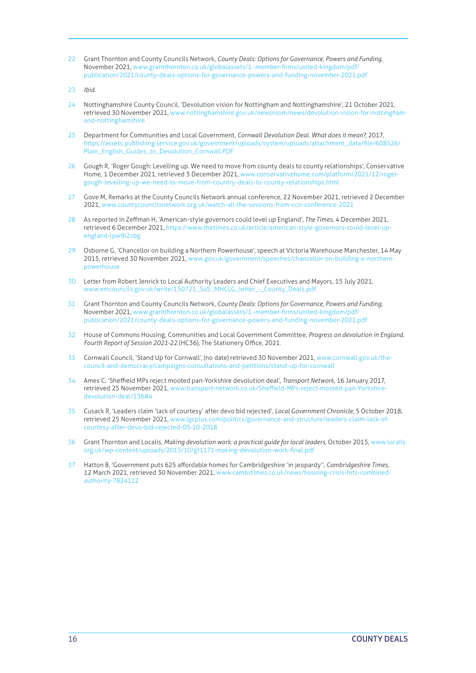- <span id="page-15-0"></span>22 Grant Thornton and County Councils Network, *County Deals: Options for Governance, Powers and Funding*, November 2021, [www.grantthornton.co.uk/globalassets/1.-member-firms/united-kingdom/pdf/](https://www.grantthornton.co.uk/globalassets/1.-member-firms/united-kingdom/pdf/publication/2021/county-deals-options-for-governance-powers-and-funding-november-2021.pdf) [publication/2021/county-deals-options-for-governance-powers-and-funding-november-2021.pdf](https://www.grantthornton.co.uk/globalassets/1.-member-firms/united-kingdom/pdf/publication/2021/county-deals-options-for-governance-powers-and-funding-november-2021.pdf)
- 23 *Ibid*.
- 24 Nottinghamshire County Council, 'Devolution vision for Nottingham and Nottinghamshire', 21 October 2021, retrieved 30 November 2021, [www.nottinghamshire.gov.uk/newsroom/news/devolution-vision-for-nottingham](https://www.nottinghamshire.gov.uk/newsroom/news/devolution-vision-for-nottingham-and-nottinghamshire)[and-nottinghamshire](https://www.nottinghamshire.gov.uk/newsroom/news/devolution-vision-for-nottingham-and-nottinghamshire)
- 25 Department for Communities and Local Government, *Cornwall Devolution Deal. What does it mean?*, 2017, [https://assets.publishing.service.gov.uk/government/uploads/system/uploads/attachment\\_data/file/608526/](https://assets.publishing.service.gov.uk/government/uploads/system/uploads/attachment_data/file/608526/Plain_English_Guides_to_Devolution_Cornwall.PDF) [Plain\\_English\\_Guides\\_to\\_Devolution\\_Cornwall.PDF](https://assets.publishing.service.gov.uk/government/uploads/system/uploads/attachment_data/file/608526/Plain_English_Guides_to_Devolution_Cornwall.PDF)
- 26 Gough R, 'Roger Gough: Levelling up. We need to move from county deals to county relationships', Conservative Home, 1 December 2021, retrieved 3 December 2021, [www.conservativehome.com/platform/2021/12/roger](http://www.conservativehome.com/platform/2021/12/roger-gough-levelling-up-we-need-to-move-from-country-deals-to-county-relationships.html)[gough-levelling-up-we-need-to-move-from-country-deals-to-county-relationships.html](http://www.conservativehome.com/platform/2021/12/roger-gough-levelling-up-we-need-to-move-from-country-deals-to-county-relationships.html)
- 27 Gove M, Remarks at the County Councils Network annual conference, 22 November 2021, retrieved 2 December 2021, [www.countycouncilsnetwork.org.uk/watch-all-the-sessions-from-ccn-conference-2021](http://www.countycouncilsnetwork.org.uk/watch-all-the-sessions-from-ccn-conference-2021/)
- [28](#page-9-0) As reported in Zeffman H, 'American-style governors could level up England', *The Times*, 4 December 2021, retrieved 6 December 2021, [https://www.thetimes.co.uk/article/american-style-governors-could-level-up](https://www.thetimes.co.uk/article/american-style-governors-could-level-up-england-lpw9l2sbg)[england-lpw9l2sbg](https://www.thetimes.co.uk/article/american-style-governors-could-level-up-england-lpw9l2sbg)
- 29 Osborne G, 'Chancellor on building a Northern Powerhouse', speech at Victoria Warehouse Manchester, 14 May 2015, retrieved 30 November 2021, [www.gov.uk/government/speeches/chancellor-on-building-a-northern](https://www.gov.uk/government/speeches/chancellor-on-building-a-northern-powerhouse)[powerhouse](https://www.gov.uk/government/speeches/chancellor-on-building-a-northern-powerhouse)
- [30](#page-10-0) Letter from Robert Jenrick to Local Authority Leaders and Chief Executives and Mayors, 15 July 2021, [www.emcouncils.gov.uk/write/150721\\_SoS\\_MHCLG\\_letter\\_-\\_County\\_Deals.pdf](http://www.emcouncils.gov.uk/write/150721_SoS_MHCLG_letter_-_County_Deals.pdf)
- 31 Grant Thornton and County Councils Network, *County Deals: Options for Governance, Powers and Funding*, November 2021, [www.grantthornton.co.uk/globalassets/1.-member-firms/united-kingdom/pdf/](https://www.grantthornton.co.uk/globalassets/1.-member-firms/united-kingdom/pdf/publication/2021/county-deals-options-for-governance-powers-and-funding-november-2021.pdf) [publication/2021/county-deals-options-for-governance-powers-and-funding-november-2021.pdf](https://www.grantthornton.co.uk/globalassets/1.-member-firms/united-kingdom/pdf/publication/2021/county-deals-options-for-governance-powers-and-funding-november-2021.pdf)
- 32 House of Commons Housing, Communities and Local Government Committee, *Progress on devolution in England, Fourth Report of Session 2021-22* (HC36), The Stationery Office, 2021.
- [33](#page-11-0) Cornwall Council, 'Stand Up for Cornwall', (no date) retrieved 30 November 2021, [www.cornwall.gov.uk/the](https://www.cornwall.gov.uk/the-council-and-democracy/campaigns-consultations-and-petitions/stand-up-for-cornwall)[council-and-democracy/campaigns-consultations-and-petitions/stand-up-for-cornwall](https://www.cornwall.gov.uk/the-council-and-democracy/campaigns-consultations-and-petitions/stand-up-for-cornwall)
- [34](#page-12-0) Ames C, 'Sheffield MPs reject mooted pan-Yorkshire devolution deal', *Transport Network*, 16 January 2017, retrieved 25 November 2021, [www.transport-network.co.uk/Sheffield-MPs-reject-mooted-pan-Yorkshire](http://www.transport-network.co.uk/Sheffield-MPs-reject-mooted-pan-Yorkshire-devolution-deal/13684)[devolution-deal/13684](http://www.transport-network.co.uk/Sheffield-MPs-reject-mooted-pan-Yorkshire-devolution-deal/13684)
- 35 Cusack R, 'Leaders claim 'lack of courtesy' after devo bid rejected', *Local Government Chronicle*, 5 October 2018, retrieved 25 November 2021, [www.lgcplus.com/politics/governance-and-structure/leaders-claim-lack-of](https://www.lgcplus.com/politics/governance-and-structure/leaders-claim-lack-of-courtesy-after-devo-bid-rejected-05-10-2018/)[courtesy-after-devo-bid-rejected-05-10-2018](https://www.lgcplus.com/politics/governance-and-structure/leaders-claim-lack-of-courtesy-after-devo-bid-rejected-05-10-2018/)
- 36 Grant Thornton and Localis, *Making devolution work: a practical guide for local leaders*, October 2015, [www.localis.](http://www.localis.org.uk/wp-content/uploads/2015/10/gt1171-making-devolution-work-final.pdf) [org.uk/wp-content/uploads/2015/10/gt1171-making-devolution-work-final.pdf](http://www.localis.org.uk/wp-content/uploads/2015/10/gt1171-making-devolution-work-final.pdf)
- 37 Hatton B, 'Government puts 625 affordable homes for Cambridgeshire 'in jeopardy'', *Cambridgeshire Times*, 12 March 2021, retrieved 30 November 2021, [www.cambstimes.co.uk/news/housing-crisis-hits-combined](https://www.cambstimes.co.uk/news/housing-crisis-hits-combined-authority-7824112)[authority-7824112](https://www.cambstimes.co.uk/news/housing-crisis-hits-combined-authority-7824112)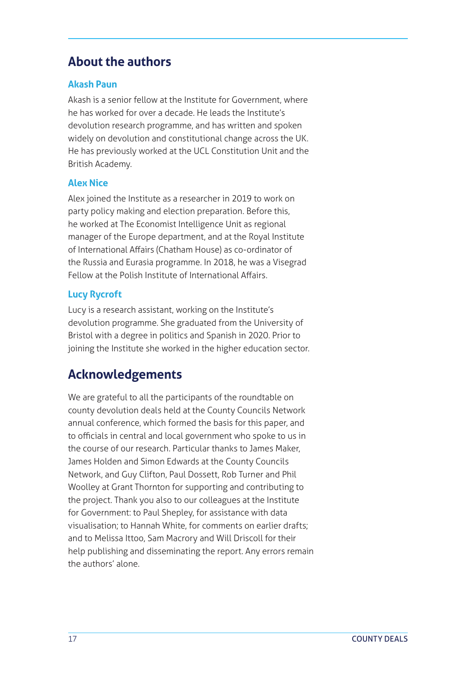#### **About the authors**

#### **Akash Paun**

Akash is a senior fellow at the Institute for Government, where he has worked for over a decade. He leads the Institute's devolution research programme, and has written and spoken widely on devolution and constitutional change across the UK. He has previously worked at the UCL Constitution Unit and the British Academy.

#### **Alex Nice**

Alex joined the Institute as a researcher in 2019 to work on party policy making and election preparation. Before this, he worked at The Economist Intelligence Unit as regional manager of the Europe department, and at the Royal Institute of International Affairs (Chatham House) as co-ordinator of the Russia and Eurasia programme. In 2018, he was a Visegrad Fellow at the Polish Institute of International Affairs.

#### **Lucy Rycroft**

Lucy is a research assistant, working on the Institute's devolution programme. She graduated from the University of Bristol with a degree in politics and Spanish in 2020. Prior to joining the Institute she worked in the higher education sector.

#### **Acknowledgements**

We are grateful to all the participants of the roundtable on county devolution deals held at the County Councils Network annual conference, which formed the basis for this paper, and to officials in central and local government who spoke to us in the course of our research. Particular thanks to James Maker, James Holden and Simon Edwards at the County Councils Network, and Guy Clifton, Paul Dossett, Rob Turner and Phil Woolley at Grant Thornton for supporting and contributing to the project. Thank you also to our colleagues at the Institute for Government: to Paul Shepley, for assistance with data visualisation; to Hannah White, for comments on earlier drafts; and to Melissa Ittoo, Sam Macrory and Will Driscoll for their help publishing and disseminating the report. Any errors remain the authors' alone.